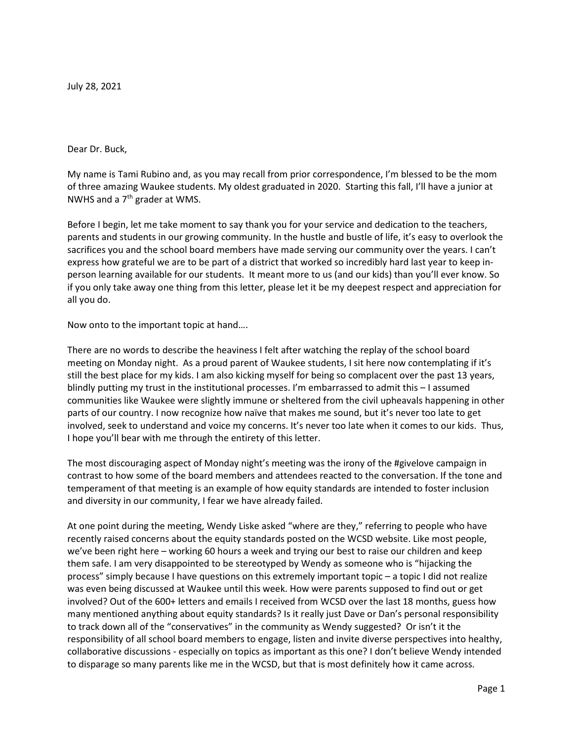July 28, 2021

#### Dear Dr. Buck,

My name is Tami Rubino and, as you may recall from prior correspondence, I'm blessed to be the mom of three amazing Waukee students. My oldest graduated in 2020. Starting this fall, I'll have a junior at NWHS and a  $7<sup>th</sup>$  grader at WMS.

Before I begin, let me take moment to say thank you for your service and dedication to the teachers, parents and students in our growing community. In the hustle and bustle of life, it's easy to overlook the sacrifices you and the school board members have made serving our community over the years. I can't express how grateful we are to be part of a district that worked so incredibly hard last year to keep inperson learning available for our students. It meant more to us (and our kids) than you'll ever know. So if you only take away one thing from this letter, please let it be my deepest respect and appreciation for all you do.

Now onto to the important topic at hand….

There are no words to describe the heaviness I felt after watching the replay of the school board meeting on Monday night. As a proud parent of Waukee students, I sit here now contemplating if it's still the best place for my kids. I am also kicking myself for being so complacent over the past 13 years, blindly putting my trust in the institutional processes. I'm embarrassed to admit this – I assumed communities like Waukee were slightly immune or sheltered from the civil upheavals happening in other parts of our country. I now recognize how naïve that makes me sound, but it's never too late to get involved, seek to understand and voice my concerns. It's never too late when it comes to our kids. Thus, I hope you'll bear with me through the entirety of this letter.

The most discouraging aspect of Monday night's meeting was the irony of the #givelove campaign in contrast to how some of the board members and attendees reacted to the conversation. If the tone and temperament of that meeting is an example of how equity standards are intended to foster inclusion and diversity in our community, I fear we have already failed.

At one point during the meeting, Wendy Liske asked "where are they," referring to people who have recently raised concerns about the equity standards posted on the WCSD website. Like most people, we've been right here – working 60 hours a week and trying our best to raise our children and keep them safe. I am very disappointed to be stereotyped by Wendy as someone who is "hijacking the process" simply because I have questions on this extremely important topic – a topic I did not realize was even being discussed at Waukee until this week. How were parents supposed to find out or get involved? Out of the 600+ letters and emails I received from WCSD over the last 18 months, guess how many mentioned anything about equity standards? Is it really just Dave or Dan's personal responsibility to track down all of the "conservatives" in the community as Wendy suggested? Or isn't it the responsibility of all school board members to engage, listen and invite diverse perspectives into healthy, collaborative discussions - especially on topics as important as this one? I don't believe Wendy intended to disparage so many parents like me in the WCSD, but that is most definitely how it came across.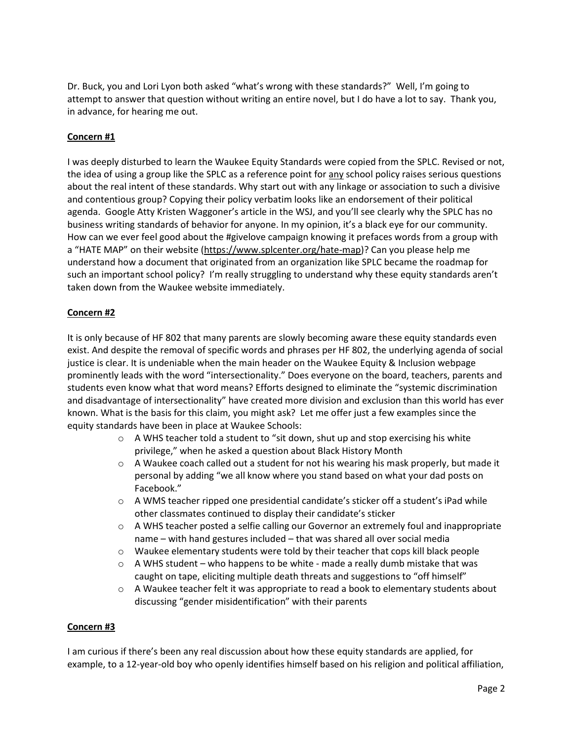Dr. Buck, you and Lori Lyon both asked "what's wrong with these standards?" Well, I'm going to attempt to answer that question without writing an entire novel, but I do have a lot to say. Thank you, in advance, for hearing me out.

# Concern #1

I was deeply disturbed to learn the Waukee Equity Standards were copied from the SPLC. Revised or not, the idea of using a group like the SPLC as a reference point for any school policy raises serious questions about the real intent of these standards. Why start out with any linkage or association to such a divisive and contentious group? Copying their policy verbatim looks like an endorsement of their political agenda. Google Atty Kristen Waggoner's article in the WSJ, and you'll see clearly why the SPLC has no business writing standards of behavior for anyone. In my opinion, it's a black eye for our community. How can we ever feel good about the #givelove campaign knowing it prefaces words from a group with a "HATE MAP" on their website (https://www.splcenter.org/hate-map)? Can you please help me understand how a document that originated from an organization like SPLC became the roadmap for such an important school policy? I'm really struggling to understand why these equity standards aren't taken down from the Waukee website immediately.

## Concern #2

It is only because of HF 802 that many parents are slowly becoming aware these equity standards even exist. And despite the removal of specific words and phrases per HF 802, the underlying agenda of social justice is clear. It is undeniable when the main header on the Waukee Equity & Inclusion webpage prominently leads with the word "intersectionality." Does everyone on the board, teachers, parents and students even know what that word means? Efforts designed to eliminate the "systemic discrimination and disadvantage of intersectionality" have created more division and exclusion than this world has ever known. What is the basis for this claim, you might ask? Let me offer just a few examples since the equity standards have been in place at Waukee Schools:

- $\circ$  A WHS teacher told a student to "sit down, shut up and stop exercising his white privilege," when he asked a question about Black History Month
- $\circ$  A Waukee coach called out a student for not his wearing his mask properly, but made it personal by adding "we all know where you stand based on what your dad posts on Facebook."
- $\circ$  A WMS teacher ripped one presidential candidate's sticker off a student's iPad while other classmates continued to display their candidate's sticker
- $\circ$  A WHS teacher posted a selfie calling our Governor an extremely foul and inappropriate name – with hand gestures included – that was shared all over social media
- $\circ$  Waukee elementary students were told by their teacher that cops kill black people
- $\circ$  A WHS student who happens to be white made a really dumb mistake that was caught on tape, eliciting multiple death threats and suggestions to "off himself"
- $\circ$  A Waukee teacher felt it was appropriate to read a book to elementary students about discussing "gender misidentification" with their parents

## Concern #3

I am curious if there's been any real discussion about how these equity standards are applied, for example, to a 12-year-old boy who openly identifies himself based on his religion and political affiliation,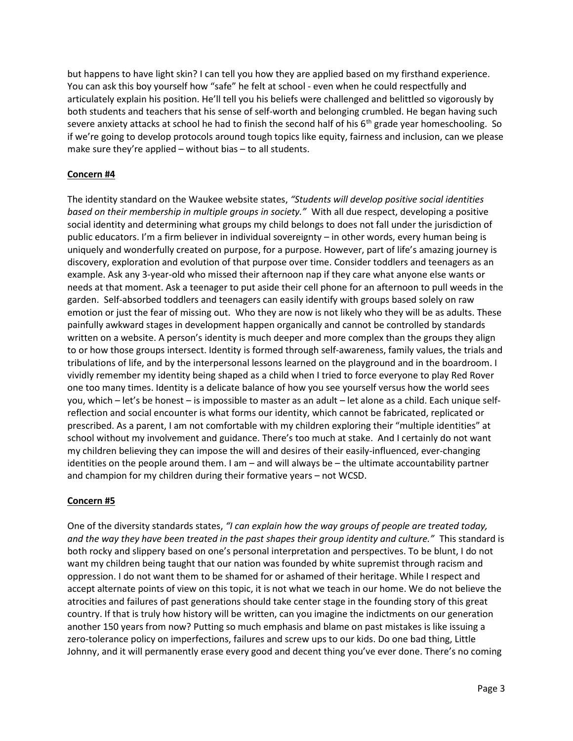but happens to have light skin? I can tell you how they are applied based on my firsthand experience. You can ask this boy yourself how "safe" he felt at school - even when he could respectfully and articulately explain his position. He'll tell you his beliefs were challenged and belittled so vigorously by both students and teachers that his sense of self-worth and belonging crumbled. He began having such severe anxiety attacks at school he had to finish the second half of his  $6<sup>th</sup>$  grade year homeschooling. So if we're going to develop protocols around tough topics like equity, fairness and inclusion, can we please make sure they're applied – without bias – to all students.

# Concern #4

The identity standard on the Waukee website states, "Students will develop positive social identities based on their membership in multiple groups in society." With all due respect, developing a positive social identity and determining what groups my child belongs to does not fall under the jurisdiction of public educators. I'm a firm believer in individual sovereignty – in other words, every human being is uniquely and wonderfully created on purpose, for a purpose. However, part of life's amazing journey is discovery, exploration and evolution of that purpose over time. Consider toddlers and teenagers as an example. Ask any 3-year-old who missed their afternoon nap if they care what anyone else wants or needs at that moment. Ask a teenager to put aside their cell phone for an afternoon to pull weeds in the garden. Self-absorbed toddlers and teenagers can easily identify with groups based solely on raw emotion or just the fear of missing out. Who they are now is not likely who they will be as adults. These painfully awkward stages in development happen organically and cannot be controlled by standards written on a website. A person's identity is much deeper and more complex than the groups they align to or how those groups intersect. Identity is formed through self-awareness, family values, the trials and tribulations of life, and by the interpersonal lessons learned on the playground and in the boardroom. I vividly remember my identity being shaped as a child when I tried to force everyone to play Red Rover one too many times. Identity is a delicate balance of how you see yourself versus how the world sees you, which – let's be honest – is impossible to master as an adult – let alone as a child. Each unique selfreflection and social encounter is what forms our identity, which cannot be fabricated, replicated or prescribed. As a parent, I am not comfortable with my children exploring their "multiple identities" at school without my involvement and guidance. There's too much at stake. And I certainly do not want my children believing they can impose the will and desires of their easily-influenced, ever-changing identities on the people around them. I am – and will always be – the ultimate accountability partner and champion for my children during their formative years – not WCSD.

## Concern #5

One of the diversity standards states, "I can explain how the way groups of people are treated today, and the way they have been treated in the past shapes their group identity and culture." This standard is both rocky and slippery based on one's personal interpretation and perspectives. To be blunt, I do not want my children being taught that our nation was founded by white supremist through racism and oppression. I do not want them to be shamed for or ashamed of their heritage. While I respect and accept alternate points of view on this topic, it is not what we teach in our home. We do not believe the atrocities and failures of past generations should take center stage in the founding story of this great country. If that is truly how history will be written, can you imagine the indictments on our generation another 150 years from now? Putting so much emphasis and blame on past mistakes is like issuing a zero-tolerance policy on imperfections, failures and screw ups to our kids. Do one bad thing, Little Johnny, and it will permanently erase every good and decent thing you've ever done. There's no coming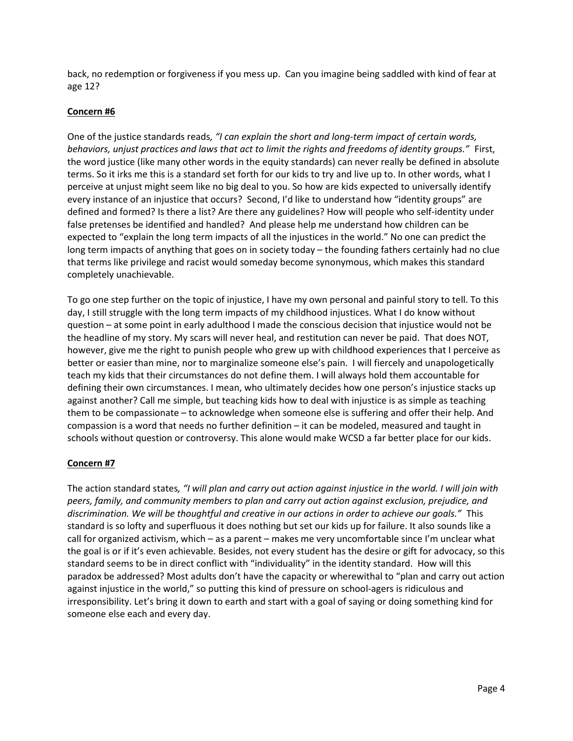back, no redemption or forgiveness if you mess up. Can you imagine being saddled with kind of fear at age 12?

### Concern #6

One of the justice standards reads, "I can explain the short and long-term impact of certain words, behaviors, unjust practices and laws that act to limit the rights and freedoms of identity groups." First, the word justice (like many other words in the equity standards) can never really be defined in absolute terms. So it irks me this is a standard set forth for our kids to try and live up to. In other words, what I perceive at unjust might seem like no big deal to you. So how are kids expected to universally identify every instance of an injustice that occurs? Second, I'd like to understand how "identity groups" are defined and formed? Is there a list? Are there any guidelines? How will people who self-identity under false pretenses be identified and handled? And please help me understand how children can be expected to "explain the long term impacts of all the injustices in the world." No one can predict the long term impacts of anything that goes on in society today – the founding fathers certainly had no clue that terms like privilege and racist would someday become synonymous, which makes this standard completely unachievable.

To go one step further on the topic of injustice, I have my own personal and painful story to tell. To this day, I still struggle with the long term impacts of my childhood injustices. What I do know without question – at some point in early adulthood I made the conscious decision that injustice would not be the headline of my story. My scars will never heal, and restitution can never be paid. That does NOT, however, give me the right to punish people who grew up with childhood experiences that I perceive as better or easier than mine, nor to marginalize someone else's pain. I will fiercely and unapologetically teach my kids that their circumstances do not define them. I will always hold them accountable for defining their own circumstances. I mean, who ultimately decides how one person's injustice stacks up against another? Call me simple, but teaching kids how to deal with injustice is as simple as teaching them to be compassionate – to acknowledge when someone else is suffering and offer their help. And compassion is a word that needs no further definition – it can be modeled, measured and taught in schools without question or controversy. This alone would make WCSD a far better place for our kids.

## Concern #7

The action standard states, "I will plan and carry out action against injustice in the world. I will join with peers, family, and community members to plan and carry out action against exclusion, prejudice, and discrimination. We will be thoughtful and creative in our actions in order to achieve our goals." This standard is so lofty and superfluous it does nothing but set our kids up for failure. It also sounds like a call for organized activism, which – as a parent – makes me very uncomfortable since I'm unclear what the goal is or if it's even achievable. Besides, not every student has the desire or gift for advocacy, so this standard seems to be in direct conflict with "individuality" in the identity standard. How will this paradox be addressed? Most adults don't have the capacity or wherewithal to "plan and carry out action against injustice in the world," so putting this kind of pressure on school-agers is ridiculous and irresponsibility. Let's bring it down to earth and start with a goal of saying or doing something kind for someone else each and every day.